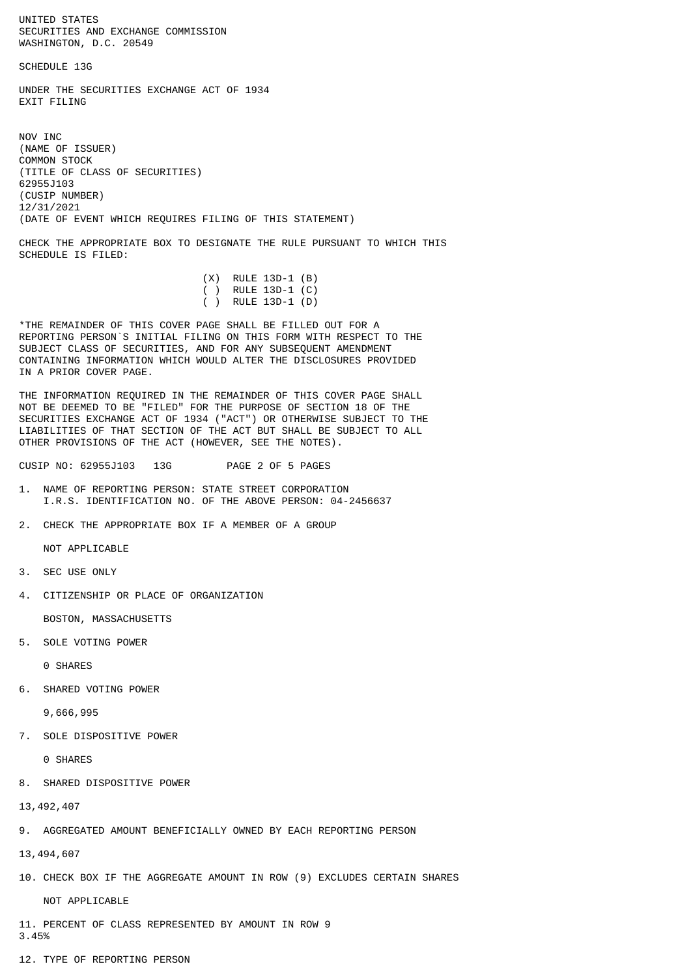UNITED STATES SECURITIES AND EXCHANGE COMMISSION WASHINGTON, D.C. 20549

SCHEDULE 13G

UNDER THE SECURITIES EXCHANGE ACT OF 1934 **EXTT FTLTNG** 

NOV INC (NAME OF ISSUER) COMMON STOCK (TITLE OF CLASS OF SECURITIES) 62955J103 (CUSIP NUMBER) 12/31/2021 (DATE OF EVENT WHICH REQUIRES FILING OF THIS STATEMENT)

CHECK THE APPROPRIATE BOX TO DESIGNATE THE RULE PURSUANT TO WHICH THIS SCHEDULE IS FILED:

|  | $(X)$ RULE 13D-1 $(B)$ |  |
|--|------------------------|--|
|  | ( ) RULE 13D-1 $(C)$   |  |
|  | ( ) RULE 13D-1 (D)     |  |

\*THE REMAINDER OF THIS COVER PAGE SHALL BE FILLED OUT FOR A REPORTING PERSON`S INITIAL FILING ON THIS FORM WITH RESPECT TO THE SUBJECT CLASS OF SECURITIES, AND FOR ANY SUBSEQUENT AMENDMENT CONTAINING INFORMATION WHICH WOULD ALTER THE DISCLOSURES PROVIDED IN A PRIOR COVER PAGE.

THE INFORMATION REQUIRED IN THE REMAINDER OF THIS COVER PAGE SHALL NOT BE DEEMED TO BE "FILED" FOR THE PURPOSE OF SECTION 18 OF THE SECURITIES EXCHANGE ACT OF 1934 ("ACT") OR OTHERWISE SUBJECT TO THE LIABILITIES OF THAT SECTION OF THE ACT BUT SHALL BE SUBJECT TO ALL OTHER PROVISIONS OF THE ACT (HOWEVER, SEE THE NOTES).

CUSIP NO: 62955J103 13G PAGE 2 OF 5 PAGES

- 1. NAME OF REPORTING PERSON: STATE STREET CORPORATION I.R.S. IDENTIFICATION NO. OF THE ABOVE PERSON: 04-2456637
- 2. CHECK THE APPROPRIATE BOX IF A MEMBER OF A GROUP

NOT APPLICABLE

- 3. SEC USE ONLY
- 4. CITIZENSHIP OR PLACE OF ORGANIZATION

BOSTON, MASSACHUSETTS

5. SOLE VOTING POWER

0 SHARES

6. SHARED VOTING POWER

9,666,995

7. SOLE DISPOSITIVE POWER

0 SHARES

8. SHARED DISPOSITIVE POWER

13,492,407

9. AGGREGATED AMOUNT BENEFICIALLY OWNED BY EACH REPORTING PERSON

13,494,607

10. CHECK BOX IF THE AGGREGATE AMOUNT IN ROW (9) EXCLUDES CERTAIN SHARES

NOT APPLICABLE

11. PERCENT OF CLASS REPRESENTED BY AMOUNT IN ROW 9 3.45%

12. TYPE OF REPORTING PERSON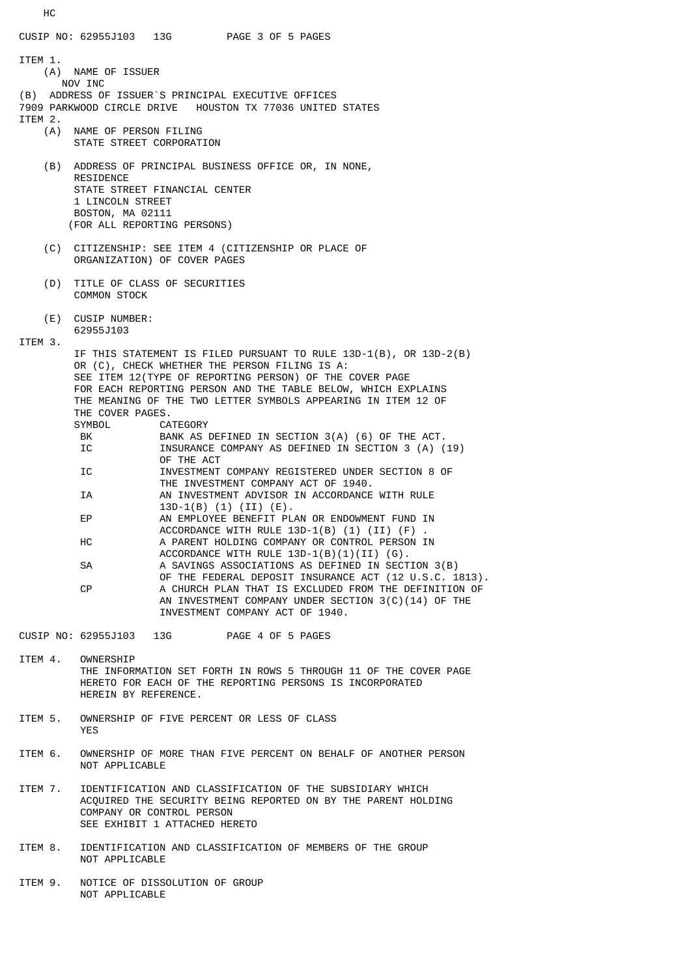CUSIP NO: 62955J103 13G PAGE 3 OF 5 PAGES ITEM 1. (A) NAME OF ISSUER NOV INC (B) ADDRESS OF ISSUER`S PRINCIPAL EXECUTIVE OFFICES 7909 PARKWOOD CIRCLE DRIVE HOUSTON TX 77036 UNITED STATES ITEM 2.<br>(A) NAME OF PERSON FILING STATE STREET CORPORATION (B) ADDRESS OF PRINCIPAL BUSINESS OFFICE OR, IN NONE, RESIDENCE STATE STREET FINANCIAL CENTER 1 LINCOLN STREET BOSTON, MA 02111 (FOR ALL REPORTING PERSONS) (C) CITIZENSHIP: SEE ITEM 4 (CITIZENSHIP OR PLACE OF ORGANIZATION) OF COVER PAGES (D) TITLE OF CLASS OF SECURITIES COMMON STOCK (E) CUSIP NUMBER: 62955J103 ITEM 3. IF THIS STATEMENT IS FILED PURSUANT TO RULE 13D-1(B), OR 13D-2(B) OR (C), CHECK WHETHER THE PERSON FILING IS A: SEE ITEM 12(TYPE OF REPORTING PERSON) OF THE COVER PAGE FOR EACH REPORTING PERSON AND THE TABLE BELOW, WHICH EXPLAINS THE MEANING OF THE TWO LETTER SYMBOLS APPEARING IN ITEM 12 OF THE COVER PAGES. SYMBOL CATEGORY<br>BK BANKAS BANK AS DEFINED IN SECTION 3(A) (6) OF THE ACT. IC **INSURANCE COMPANY AS DEFINED IN SECTION 3 (A) (19)**  OF THE ACT IC INVESTMENT COMPANY REGISTERED UNDER SECTION 8 OF THE INVESTMENT COMPANY ACT OF 1940. IA AN INVESTMENT ADVISOR IN ACCORDANCE WITH RULE 13D-1(B) (1) (II) (E).<br>EP AN EMPLOYEE BENEFIT PL AN EMPLOYEE BENEFIT PLAN OR ENDOWMENT FUND IN ACCORDANCE WITH RULE  $13D-1(B)$  (1) (II) (F) HC A PARENT HOLDING COMPANY OR CONTROL PERSON IN ACCORDANCE WITH RULE 13D-1(B)(1)(II) (G). SA A SAVINGS ASSOCIATIONS AS DEFINED IN SECTION 3(B) OF THE FEDERAL DEPOSIT INSURANCE ACT (12 U.S.C. 1813).<br>A CHURCH PLAN THAT IS EXCLUDED FROM THE DEFINITION OF A CHURCH PLAN THAT IS EXCLUDED FROM THE DEFINITION OF AN INVESTMENT COMPANY UNDER SECTION 3(C)(14) OF THE INVESTMENT COMPANY ACT OF 1940. CUSIP NO: 62955J103 13G PAGE 4 OF 5 PAGES ITEM 4. OWNERSHIP THE INFORMATION SET FORTH IN ROWS 5 THROUGH 11 OF THE COVER PAGE HERETO FOR EACH OF THE REPORTING PERSONS IS INCORPORATED HEREIN BY REFERENCE.

- ITEM 5. OWNERSHIP OF FIVE PERCENT OR LESS OF CLASS YES
- ITEM 6. OWNERSHIP OF MORE THAN FIVE PERCENT ON BEHALF OF ANOTHER PERSON NOT APPLICABLE
- ITEM 7. IDENTIFICATION AND CLASSIFICATION OF THE SUBSIDIARY WHICH ACQUIRED THE SECURITY BEING REPORTED ON BY THE PARENT HOLDING COMPANY OR CONTROL PERSON SEE EXHIBIT 1 ATTACHED HERETO
- ITEM 8. IDENTIFICATION AND CLASSIFICATION OF MEMBERS OF THE GROUP NOT APPLICABLE
- ITEM 9. NOTICE OF DISSOLUTION OF GROUP NOT APPLICABLE

HC